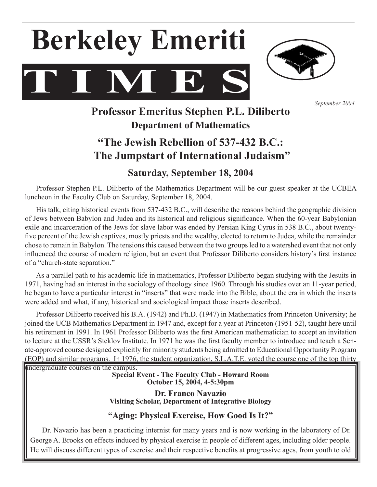



*September 2004*

# **Professor Emeritus Stephen P.L. Diliberto Department of Mathematics**

# **"The Jewish Rebellion of 537-432 B.C.: The Jumpstart of International Judaism"**

# **Saturday, September 18, 2004**

Professor Stephen P.L. Diliberto of the Mathematics Department will be our guest speaker at the UCBEA luncheon in the Faculty Club on Saturday, September 18, 2004.

His talk, citing historical events from 537-432 B.C., will describe the reasons behind the geographic division of Jews between Babylon and Judea and its historical and religious significance. When the 60-year Babylonian exile and incarceration of the Jews for slave labor was ended by Persian King Cyrus in 538 B.C., about twentyfive percent of the Jewish captives, mostly priests and the wealthy, elected to return to Judea, while the remainder chose to remain in Babylon. The tensions this caused between the two groups led to a watershed event that not only influenced the course of modern religion, but an event that Professor Diliberto considers history's first instance of a "church-state separation."

 As a parallel path to his academic life in mathematics, Professor Diliberto began studying with the Jesuits in 1971, having had an interest in the sociology of theology since 1960. Through his studies over an 11-year period, he began to have a particular interest in "inserts" that were made into the Bible, about the era in which the inserts were added and what, if any, historical and sociological impact those inserts described.

 Professor Diliberto received his B.A. (1942) and Ph.D. (1947) in Mathematics from Princeton University; he joined the UCB Mathematics Department in 1947 and, except for a year at Princeton (1951-52), taught here until his retirement in 1991. In 1961 Professor Diliberto was the first American mathematician to accept an invitation to lecture at the USSR's Steklov Institute. In 1971 he was the first faculty member to introduce and teach a Senate-approved course designed explicitly for minority students being admitted to Educational Opportunity Program (EOP) and similar programs. In 1976, the student organization, S.L.A.T.E. voted the course one of the top thirty

undergraduate courses on the campus.

**Special Event - The Faculty Club - Howard Room October 15, 2004, 4-5:30pm**

**Dr. Franco Navazio Visiting Scholar, Department of Integrative Biology**

# **"Aging: Physical Exercise, How Good Is It?"**

Dr. Navazio has been a practicing internist for many years and is now working in the laboratory of Dr. George A. Brooks on effects induced by physical exercise in people of different ages, including older people. He will discuss different types of exercise and their respective benefits at progressive ages, from youth to old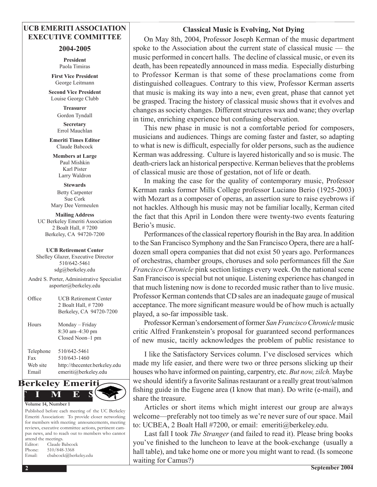# **UCB EMERITI ASSOCIATION EXECUTIVE COMMITTEE**

### **2004-2005**

**President** Paola Timiras

**First Vice President** George Leitmann

**Second Vice President** Louise George Clubb

> **Treasurer**  Gordon Tyndall **Secretary**

Errol Mauchlan **Emeriti Times Editor** Claude Babcock

**Members at Large** Paul Mishkin Karl Pister Larry Waldron

**Stewards** Betty Carpenter Sue Cork Mary Dee Vermeulen

**Mailing Address** UC Berkeley Emeriti Association 2 Boalt Hall, # 7200 Berkeley, CA 94720-7200

#### **UCB Retirement Center**

Shelley Glazer, Executive Director 510/642-5461 sdg@berkeley.edu

André S. Porter, Administrative Specialist asporter@berkeley.edu

| Office                                | <b>UCB Retirement Center</b><br>2 Boalt Hall, #7200<br>Berkeley, CA 94720-7200        |
|---------------------------------------|---------------------------------------------------------------------------------------|
| Hours                                 | Monday – Friday<br>8:30 am-4:30 pm<br>Closed Noon-1 pm                                |
| Telephone<br>Fax<br>Web site<br>Email | 510/642-5461<br>510/643-1460<br>http://thecenter.berkeley.edu<br>emeriti@berkeley.edu |



Published before each meeting of the UC Berkeley Emeriti Association: To provide closer networking for members with meeting announcements, meeting reviews, executive committee actions, pertinent campus news, and to reach out to members who cannot attend the meetings. Editor: Claude Babcock Phone: 510/848-3368 Email: cbabcock@berkeley.edu

# **Classical Music is Evolving, Not Dying**

 On May 8th, 2004, Professor Joseph Kerman of the music department spoke to the Association about the current state of classical music — the music performed in concert halls. The decline of classical music, or even its death, has been repeatedly announced in mass media. Especially disturbing to Professor Kerman is that some of these proclamations come from distinguished colleagues. Contrary to this view, Professor Kerman asserts that music is making its way into a new, even great, phase that cannot yet be grasped. Tracing the history of classical music shows that it evolves and changes as society changes. Different structures wax and wane; they overlap in time, enriching experience but confusing observation.

 This new phase in music is not a comfortable period for composers, musicians and audiences. Things are coming faster and faster, so adapting to what is new is difficult, especially for older persons, such as the audience Kerman was addressing. Culture is layered historically and so is music. The death-criers lack an historical perspective. Kerman believes that the problems of classical music are those of gestation, not of life or death.

 In making the case for the quality of contemporary music, Professor Kerman ranks former Mills College professor Luciano Berio (1925-2003) with Mozart as a composer of operas, an assertion sure to raise eyebrows if not hackles. Although his music may not be familiar locally, Kerman cited the fact that this April in London there were twenty-two events featuring Berio's music.

Performances of the classical repertory flourish in the Bay area. In addition to the San Francisco Symphony and the San Francisco Opera, there are a halfdozen small opera companies that did not exist 50 years ago. Performances of orchestras, chamber groups, choruses and solo performances fill the *San Francisco Chronicle* pink section listings every week. On the national scene San Francisco is special but not unique. Listening experience has changed in that much listening now is done to recorded music rather than to live music. Professor Kerman contends that CD sales are an inadequate gauge of musical acceptance. The more significant measure would be of how much is actually played, a so-far impossible task.

Professor Kerman's endorsement of former *San Francisco Chronicle*music critic Alfred Frankenstein's proposal for guaranteed second performances of new music, tacitly acknowledges the problem of public resistance to

I like the Satisfactory Services column. I've disclosed services which made my life easier, and there were two or three persons slicking up their houses who have informed on painting, carpentry, etc. *But now, zilch*. Maybe we should identify a favorite Salinas restaurant or a really great trout/salmon fishing guide in the Eugene area (I know that man). Do write (e-mail), and share the treasure.

 Articles or short items which might interest our group are always welcome—preferably not too timely as we're never sure of our space. Mail to: UCBEA, 2 Boalt Hall #7200, or email: emeriti@berkeley.edu.

 Last fall I took *The Stranger* (and failed to read it). Please bring books you've finished to the luncheon to leave at the book-exchange (usually a hall table), and take home one or more you might want to read. (Is someone waiting for Camus?)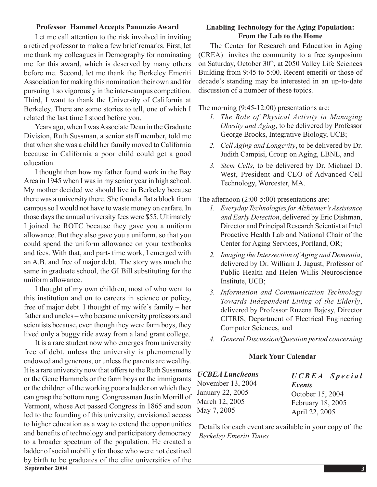## **Professor Hammel Accepts Panunzio Award**

 Let me call attention to the risk involved in inviting a retired professor to make a few brief remarks. First, let me thank my colleagues in Demography for nominating me for this award, which is deserved by many others before me. Second, let me thank the Berkeley Emeriti Association for making this nomination their own and for pursuing it so vigorously in the inter-campus competition. Third, I want to thank the University of California at Berkeley. There are some stories to tell, one of which I related the last time I stood before you.

Years ago, when I was Associate Dean in the Graduate Division, Ruth Sussman, a senior staff member, told me that when she was a child her family moved to California because in California a poor child could get a good education.

 I thought then how my father found work in the Bay Area in 1945 when I was in my senior year in high school. My mother decided we should live in Berkeley because there was a university there. She found a flat a block from campus so I would not have to waste money on carfare. In those days the annual university fees were \$55. Ultimately I joined the ROTC because they gave you a uniform allowance. But they also gave you a uniform, so that you could spend the uniform allowance on your textbooks and fees. With that, and part- time work, I emerged with an A.B. and free of major debt. The story was much the same in graduate school, the GI Bill substituting for the uniform allowance.

 I thought of my own children, most of who went to this institution and on to careers in science or policy, free of major debt. I thought of my wife's family – her father and uncles – who became university professors and scientists because, even though they were farm boys, they lived only a buggy ride away from a land grant college.

 It is a rare student now who emerges from university free of debt, unless the university is phenomenally endowed and generous, or unless the parents are wealthy. It is a rare university now that offers to the Ruth Sussmans or the Gene Hammels or the farm boys or the immigrants or the children of the working poor a ladder on which they can grasp the bottom rung. Congressman Justin Morrill of Vermont, whose Act passed Congress in 1865 and soon led to the founding of this university, envisioned access to higher education as a way to extend the opportunities and benefits of technology and participatory democracy to a broader spectrum of the population. He created a ladder of social mobility for those who were not destined by birth to be graduates of the elite universities of the

# **Enabling Technology for the Aging Population: From the Lab to the Home**

 The Center for Research and Education in Aging (CREA) invites the community to a free symposium on Saturday, October 30th, at 2050 Valley Life Sciences Building from 9:45 to 5:00. Recent emeriti or those of decade's standing may be interested in an up-to-date discussion of a number of these topics.

The morning (9:45-12:00) presentations are:

- *1. The Role of Physical Activity in Managing Obesity and Aging*, to be delivered by Professor George Brooks, Integrative Biology, UCB;
- *2. Cell Aging and Longevity*, to be delivered by Dr. Judith Campisi, Group on Aging, LBNL, and
- *3. Stem Cells*, to be delivered by Dr. Michael D. West, President and CEO of Advanced Cell Technology, Worcester, MA.

The afternoon (2:00-5:00) presentations are:

- *1. Everyday Technologies for Alzheimer's Assistance and Early Detection*, delivered by Eric Dishman, Director and Principal Research Scientist at Intel Proactive Health Lab and National Chair of the Center for Aging Services, Portland, OR;
- *2. Imaging the Intersection of Aging and Dementia*, delivered by Dr. William J. Jagust, Professor of Public Health and Helen Willis Neuroscience Institute, UCB;
- *3. Information and Communication Technology Towards Independent Living of the Elderly*, delivered by Professor Ruzena Bajcsy, Director CITRIS, Department of Electrical Engineering Computer Sciences, and
- *4. General Discussion/Question period concerning*

## **Mark Your Calendar**

| <b>UCBEA Luncheons</b> | $UCBEA$ Special   |
|------------------------|-------------------|
| November 13, 2004      | Events            |
| January 22, 2005       | October 15, 2004  |
| March 12, 2005         | February 18, 2005 |
| May 7, 2005            | April 22, 2005    |

Details for each event are available in your copy of the *Berkeley Emeriti Times*